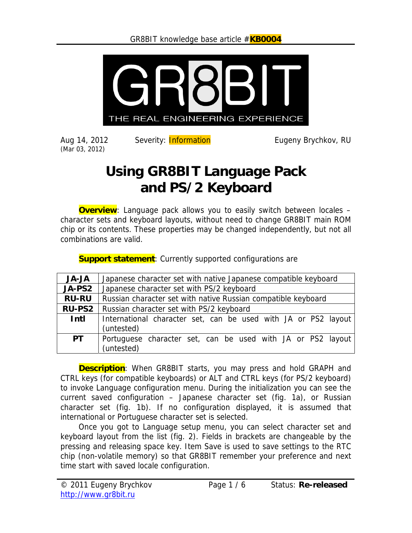

Aug 14, 2012 (Mar 03, 2012)

Severity: **Information** Eugeny Brychkov, RU

# **Using GR8BIT Language Pack and PS/2 Keyboard**

**Overview**: Language pack allows you to easily switch between locales – character sets and keyboard layouts, without need to change GR8BIT main ROM chip or its contents. These properties may be changed independently, but not all combinations are valid.

| <b>JA-JA</b>  | Japanese character set with native Japanese compatible keyboard           |
|---------------|---------------------------------------------------------------------------|
| JA-PS2        | Japanese character set with PS/2 keyboard                                 |
| <b>RU-RU</b>  | Russian character set with native Russian compatible keyboard             |
| <b>RU-PS2</b> | Russian character set with PS/2 keyboard                                  |
| Intl          | International character set, can be used with JA or PS2 layout            |
|               | (untested)                                                                |
| <b>PT</b>     | Portuguese character set, can be used with JA or PS2 layout<br>(untested) |

**Support statement**: Currently supported configurations are

**Description**: When GR8BIT starts, you may press and hold GRAPH and CTRL keys (for compatible keyboards) or ALT and CTRL keys (for PS/2 keyboard) to invoke Language configuration menu. During the initialization you can see the current saved configuration – Japanese character set (fig. 1a), or Russian character set (fig. 1b). If no configuration displayed, it is assumed that international or Portuguese character set is selected.

Once you got to Language setup menu, you can select character set and keyboard layout from the list (fig. 2). Fields in brackets are changeable by the pressing and releasing space key. Item Save is used to save settings to the RTC chip (non-volatile memory) so that GR8BIT remember your preference and next time start with saved locale configuration.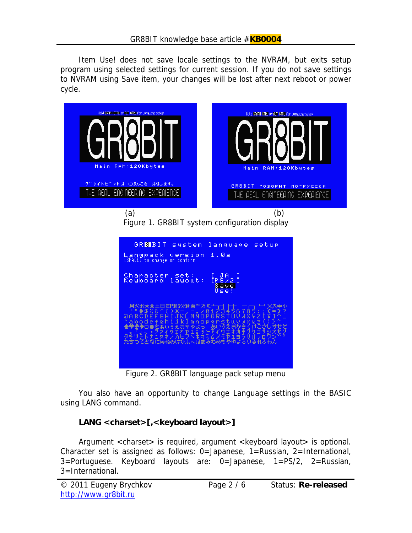Item Use! does not save locale settings to the NVRAM, but exits setup program using selected settings for current session. If you do not save settings to NVRAM using Save item, your changes will be lost after next reboot or power cycle.



Figure 1. GR8BIT system configuration display

| GREEIT system<br>language setup<br>1.0a<br>Langpack version<br><b>ISPACEJ</b> to change<br>or confirm                                                                                                                                                                                                                                                      |
|------------------------------------------------------------------------------------------------------------------------------------------------------------------------------------------------------------------------------------------------------------------------------------------------------------------------------------------------------------|
| Character set:<br>$\mathrm{lr}^{\mathrm{JA}}_{\mathrm{22}}\}$<br>Keyboard layout:<br>Savel<br>Use!                                                                                                                                                                                                                                                         |
| - 月火水未金土日年円時分秒百千万元 <del>(一)</del>   十)一一 <mark>」 → &gt;</mark> スキ小<br>- ・『#‡%&^く)*+,-./0123456789:; <b>&lt;=&gt;</b> ?<br>- QABCDEFGHIJKLMNOPQRSTUVWXYZI¥1个」<br>abcdefghijkImnopgretuvwxyz())<br>◆♥壺◆○●をあいろえぉゃゅよっ゛あいろえおかきくけこさしすせど<br><u> 「』、・</u> ヲァイゥェォ <u>ャュョッーアイウエオカモグゲコザジ</u> ズセゾ<br>タチツテトナニヌネノ介ヒフベホマミムメモヤュヨラリルレロワン*<br>たちつてとなにぬねのはひふへほまみむめもやゆよらりるれろわん |

Figure 2. GR8BIT language pack setup menu

You also have an opportunity to change Language settings in the BASIC using LANG command.

#### **LANG <charset>[,<keyboard layout>]**

Argument <charset> is required, argument <keyboard layout> is optional. Character set is assigned as follows: 0=Japanese, 1=Russian, 2=International, 3=Portuguese. Keyboard layouts are: 0=Japanese, 1=PS/2, 2=Russian, 3=International.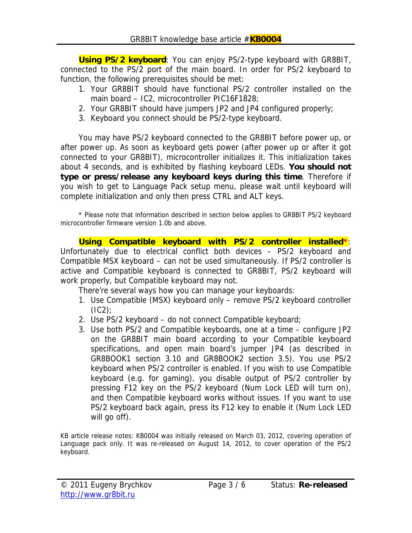**Using PS/2 keyboard**: You can enjoy PS/2-type keyboard with GR8BIT, connected to the PS/2 port of the main board. In order for PS/2 keyboard to function, the following prerequisites should be met:

- 1. Your GR8BIT should have functional PS/2 controller installed on the main board – IC2, microcontroller PIC16F1828;
- 2. Your GR8BIT should have jumpers JP2 and JP4 configured properly;
- 3. Keyboard you connect should be PS/2-type keyboard.

You may have PS/2 keyboard connected to the GR8BIT before power up, or after power up. As soon as keyboard gets power (after power up or after it got connected to your GR8BIT), microcontroller initializes it. This initialization takes about 4 seconds, and is exhibited by flashing keyboard LEDs. **You should not type or press/release any keyboard keys during this time**. Therefore if you wish to get to Language Pack setup menu, please wait until keyboard will complete initialization and only then press CTRL and ALT keys.

\* Please note that information described in section below applies to GR8BIT PS/2 keyboard microcontroller firmware version 1.0b and above.

**Using Compatible keyboard with PS/2 controller installed\***: Unfortunately due to electrical conflict both devices – PS/2 keyboard and Compatible MSX keyboard – can not be used simultaneously. If PS/2 controller is active and Compatible keyboard is connected to GR8BIT, PS/2 keyboard will work properly, but Compatible keyboard may not.

There're several ways how you can manage your keyboards:

- 1. Use Compatible (MSX) keyboard only remove PS/2 keyboard controller  $(IC2)$ ;
- 2. Use PS/2 keyboard do not connect Compatible keyboard;
- 3. Use both PS/2 and Compatible keyboards, one at a time configure JP2 on the GR8BIT main board according to your Compatible keyboard specifications, and open main board's jumper JP4 (as described in GR8BOOK1 section 3.10 and GR8BOOK2 section 3.5). You use PS/2 keyboard when PS/2 controller is enabled. If you wish to use Compatible keyboard (e.g. for gaming), you disable output of PS/2 controller by pressing F12 key on the PS/2 keyboard (Num Lock LED will turn on), and then Compatible keyboard works without issues. If you want to use PS/2 keyboard back again, press its F12 key to enable it (Num Lock LED will go off).

KB article release notes: KB0004 was initially released on March 03, 2012, covering operation of Language pack only. It was re-released on August 14, 2012, to cover operation of the PS/2 keyboard.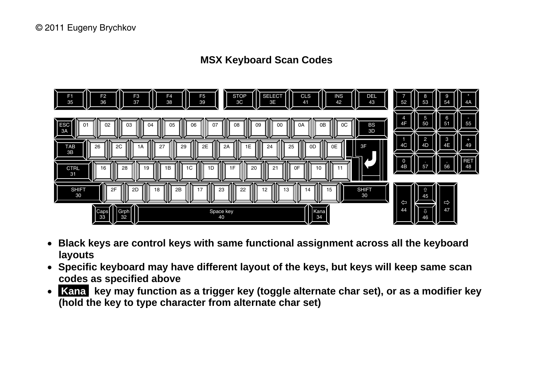### **MSX Keyboard Scan Codes**



- **Black keys are control keys with same functional assignment across all the keyboard layouts**
- **Specific keyboard may have different layout of the keys, but keys will keep same scan codes as specified above**
- Kana key may function as a trigger key (toggle alternate char set), or as a modifier key **(hold the key to type character from alternate char set)**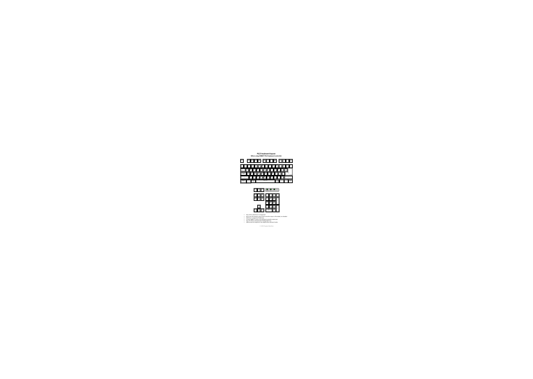### **PS/2 keyboard layout When using GR8BIT PS/2 keyboard controller**





- Keys with no label have no assignment
- Num Lock LED indicates state of PS/2 controller output: off=enabled, on=disabled
- STOP key is assigned to F9 PS/2 key
- F12 key toggles tri‐state of the keyboard controller output port
- Keys F6‐F10 are activated when holding SHIFT key
- Alphanumerical assignment may slightly differ between locales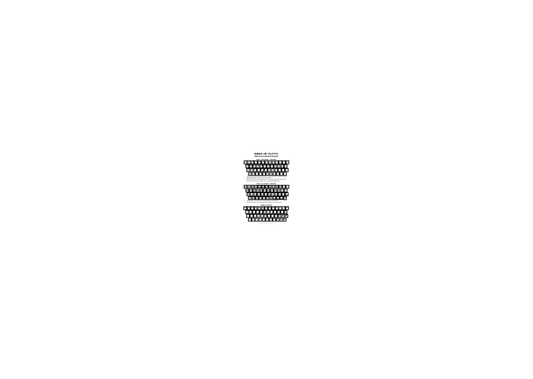# 日本のキーボードレイアウト **(Japanese Keyboard layout)**



- Non-alpha keys: Bottom left characters are typed with SHIFT released, top right with SHIFT pressed. CAPS status does not matter
- Alpha keys: lower case letters when SHIFT is released and CAPS is inactive, and when SHIFT is pressed and CAPS is active; otherwise capital letters



- Hiragana (left): CAPS mode off, Katakana (right): CAPS mode on
- Bottom characters: SHIFT is released, top characters: SHIFT is pressed



© 2011 Eugeny Brychkov